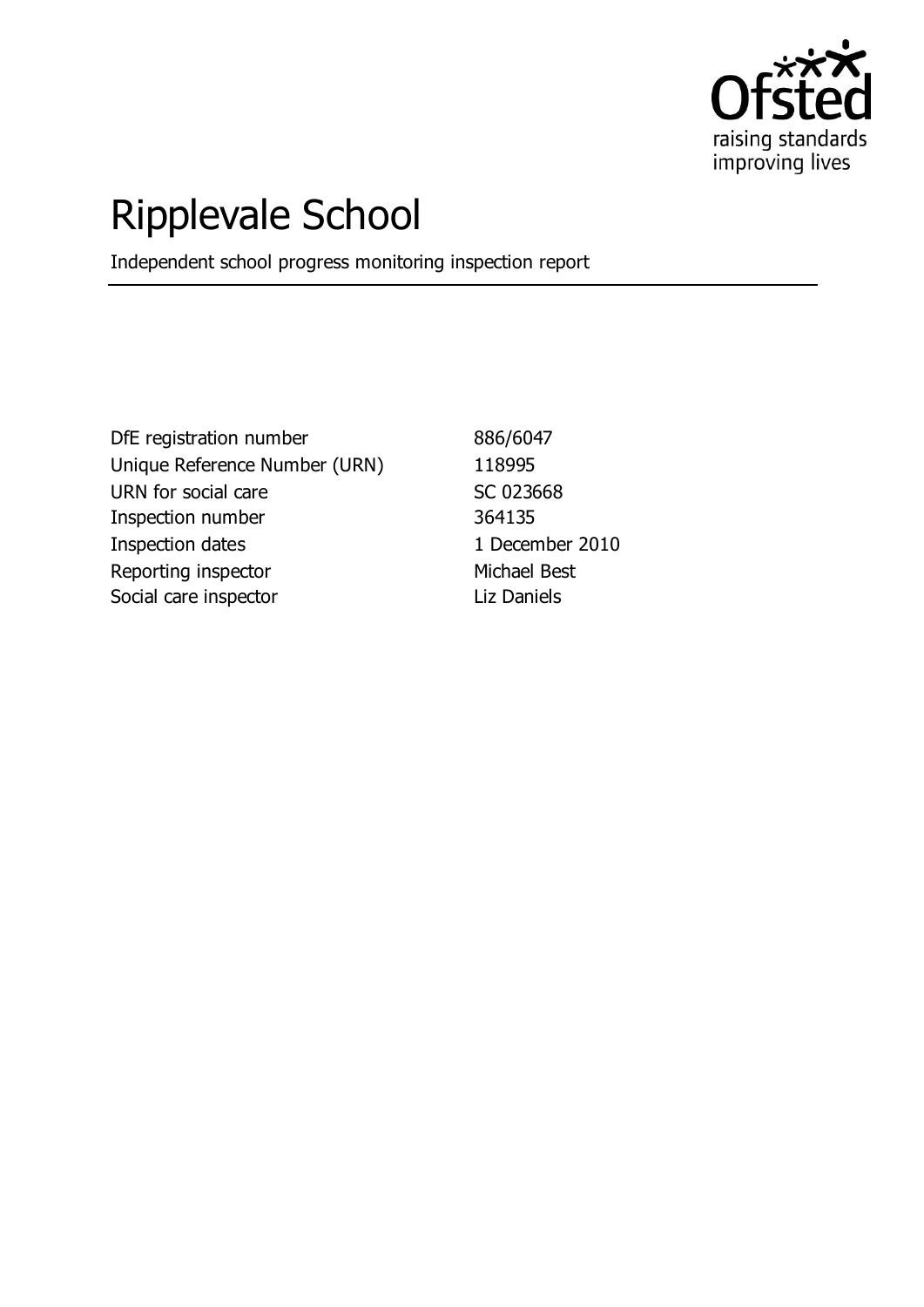

# Ripplevale School

Independent school progress monitoring inspection report

DfE registration number 886/6047 Unique Reference Number (URN) 118995 URN for social care SC 023668 Inspection number 364135 Inspection dates 1 December 2010 Reporting inspector Michael Best Social care inspector and Liz Daniels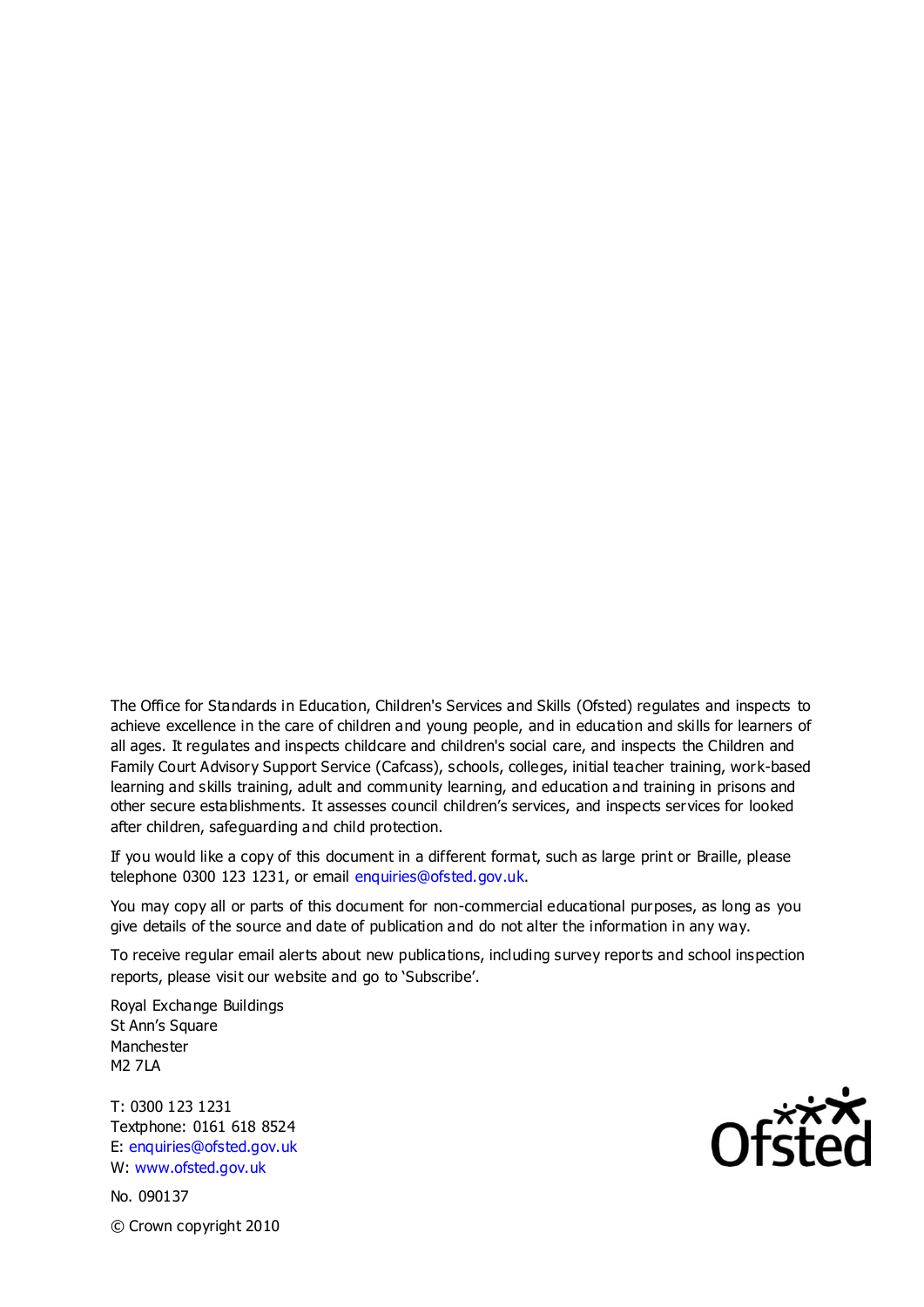The Office for Standards in Education, Children's Services and Skills (Ofsted) regulates and inspects to achieve excellence in the care of children and young people, and in education and skills for learners of all ages. It regulates and inspects childcare and children's social care, and inspects the Children and Family Court Advisory Support Service (Cafcass), schools, colleges, initial teacher training, work-based learning and skills training, adult and community learning, and education and training in prisons and other secure establishments. It assesses council children's services, and inspects services for looked after children, safeguarding and child protection.

If you would like a copy of this document in a different format, such as large print or Braille, please telephone 0300 123 1231, or email enquiries@ofsted.gov.uk.

You may copy all or parts of this document for non-commercial educational purposes, as long as you give details of the source and date of publication and do not alter the information in any way.

To receive regular email alerts about new publications, including survey reports and school inspection reports, please visit our website and go to 'Subscribe'.

Royal Exchange Buildings St Ann's Square Manchester M2 7LA

T: 0300 123 1231 Textphone: 0161 618 8524 E: enquiries@ofsted.gov.uk W: www.ofsted.gov.uk

No. 090137 © Crown copyright 2010

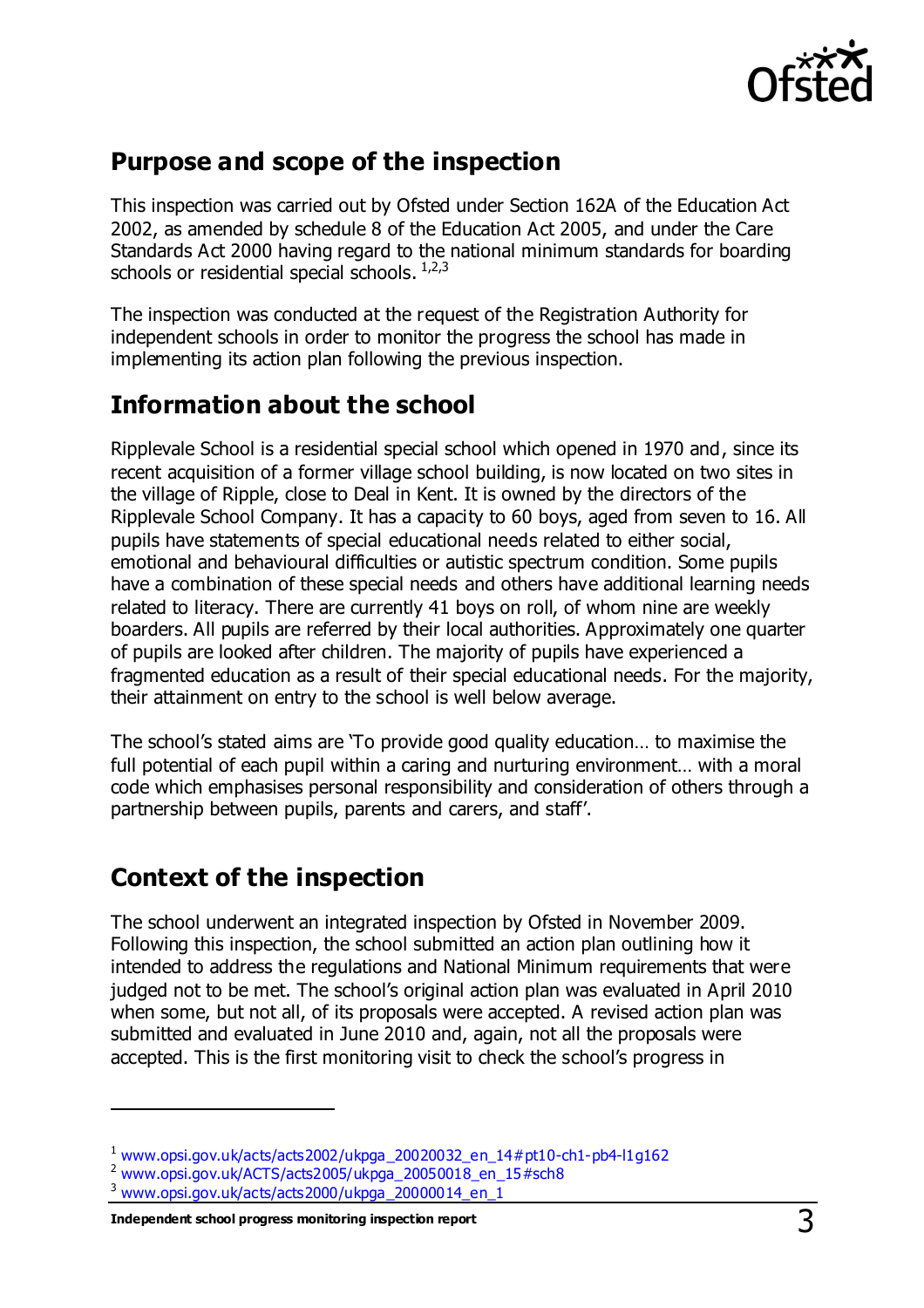

## **Purpose and scope of the inspection**

This inspection was carried out by Ofsted under Section 162A of the Education Act 2002, as amended by schedule 8 of the Education Act 2005, and under the Care Standards Act 2000 having regard to the national minimum standards for boarding schools or residential special schools. 1,2,3

The inspection was conducted at the request of the Registration Authority for independent schools in order to monitor the progress the school has made in implementing its action plan following the previous inspection.

## **Information about the school**

Ripplevale School is a residential special school which opened in 1970 and, since its recent acquisition of a former village school building, is now located on two sites in the village of Ripple, close to Deal in Kent. It is owned by the directors of the Ripplevale School Company. It has a capacity to 60 boys, aged from seven to 16. All pupils have statements of special educational needs related to either social, emotional and behavioural difficulties or autistic spectrum condition. Some pupils have a combination of these special needs and others have additional learning needs related to literacy. There are currently 41 boys on roll, of whom nine are weekly boarders. All pupils are referred by their local authorities. Approximately one quarter of pupils are looked after children. The majority of pupils have experienced a fragmented education as a result of their special educational needs. For the majority, their attainment on entry to the school is well below average.

The school's stated aims are 'To provide good quality education… to maximise the full potential of each pupil within a caring and nurturing environment… with a moral code which emphasises personal responsibility and consideration of others through a partnership between pupils, parents and carers, and staff'.

## **Context of the inspection**

The school underwent an integrated inspection by Ofsted in November 2009. Following this inspection, the school submitted an action plan outlining how it intended to address the regulations and National Minimum requirements that were judged not to be met. The school's original action plan was evaluated in April 2010 when some, but not all, of its proposals were accepted. A revised action plan was submitted and evaluated in June 2010 and, again, not all the proposals were accepted. This is the first monitoring visit to check the school's progress in

 $\overline{a}$ 

<sup>1</sup> [www.opsi.gov.uk/acts/acts2002/ukpga\\_20020032\\_en\\_14#pt10-ch1-pb4-l1g162](https://www.opsi.gov.uk/acts/acts2002/ukpga_20020032_en_14%23pt10-ch1-pb4-l1g162)

<sup>2</sup> [www.opsi.gov.uk/ACTS/acts2005/ukpga\\_20050018\\_en\\_15#sch8](http://www.opsi.gov.uk/ACTS/acts2005/ukpga_20050018_en_15#sch8)

<sup>3</sup> [www.opsi.gov.uk/acts/acts2000/ukpga\\_20000014\\_en\\_1](http://www.opsi.gov.uk/acts/acts2000/ukpga_20000014_en_1)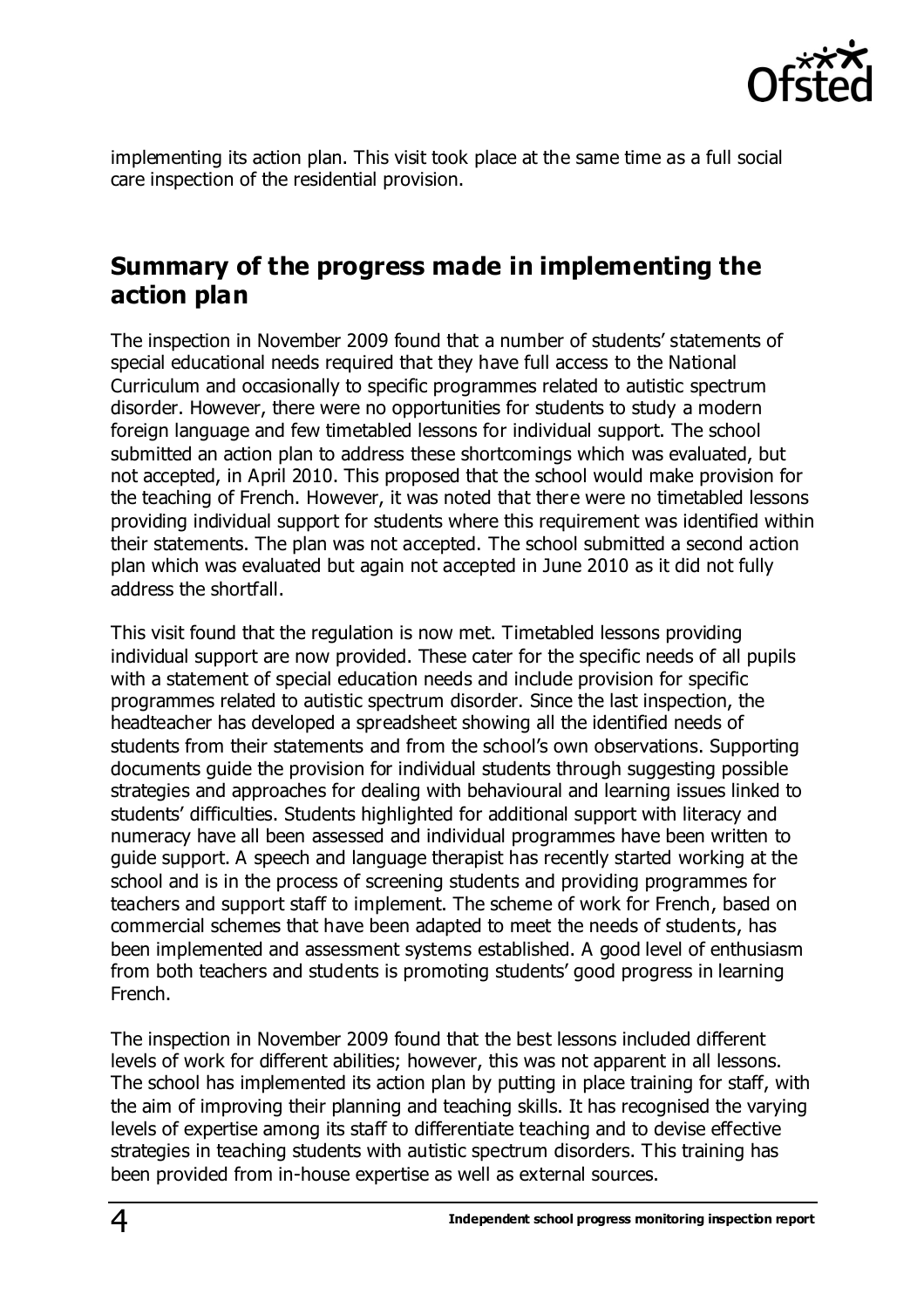

implementing its action plan. This visit took place at the same time as a full social care inspection of the residential provision.

#### **Summary of the progress made in implementing the action plan**

The inspection in November 2009 found that a number of students' statements of special educational needs required that they have full access to the National Curriculum and occasionally to specific programmes related to autistic spectrum disorder. However, there were no opportunities for students to study a modern foreign language and few timetabled lessons for individual support. The school submitted an action plan to address these shortcomings which was evaluated, but not accepted, in April 2010. This proposed that the school would make provision for the teaching of French. However, it was noted that there were no timetabled lessons providing individual support for students where this requirement was identified within their statements. The plan was not accepted. The school submitted a second action plan which was evaluated but again not accepted in June 2010 as it did not fully address the shortfall.

This visit found that the regulation is now met. Timetabled lessons providing individual support are now provided. These cater for the specific needs of all pupils with a statement of special education needs and include provision for specific programmes related to autistic spectrum disorder. Since the last inspection, the headteacher has developed a spreadsheet showing all the identified needs of students from their statements and from the school's own observations. Supporting documents guide the provision for individual students through suggesting possible strategies and approaches for dealing with behavioural and learning issues linked to students' difficulties. Students highlighted for additional support with literacy and numeracy have all been assessed and individual programmes have been written to guide support. A speech and language therapist has recently started working at the school and is in the process of screening students and providing programmes for teachers and support staff to implement. The scheme of work for French, based on commercial schemes that have been adapted to meet the needs of students, has been implemented and assessment systems established. A good level of enthusiasm from both teachers and students is promoting students' good progress in learning French.

The inspection in November 2009 found that the best lessons included different levels of work for different abilities; however, this was not apparent in all lessons. The school has implemented its action plan by putting in place training for staff, with the aim of improving their planning and teaching skills. It has recognised the varying levels of expertise among its staff to differentiate teaching and to devise effective strategies in teaching students with autistic spectrum disorders. This training has been provided from in-house expertise as well as external sources.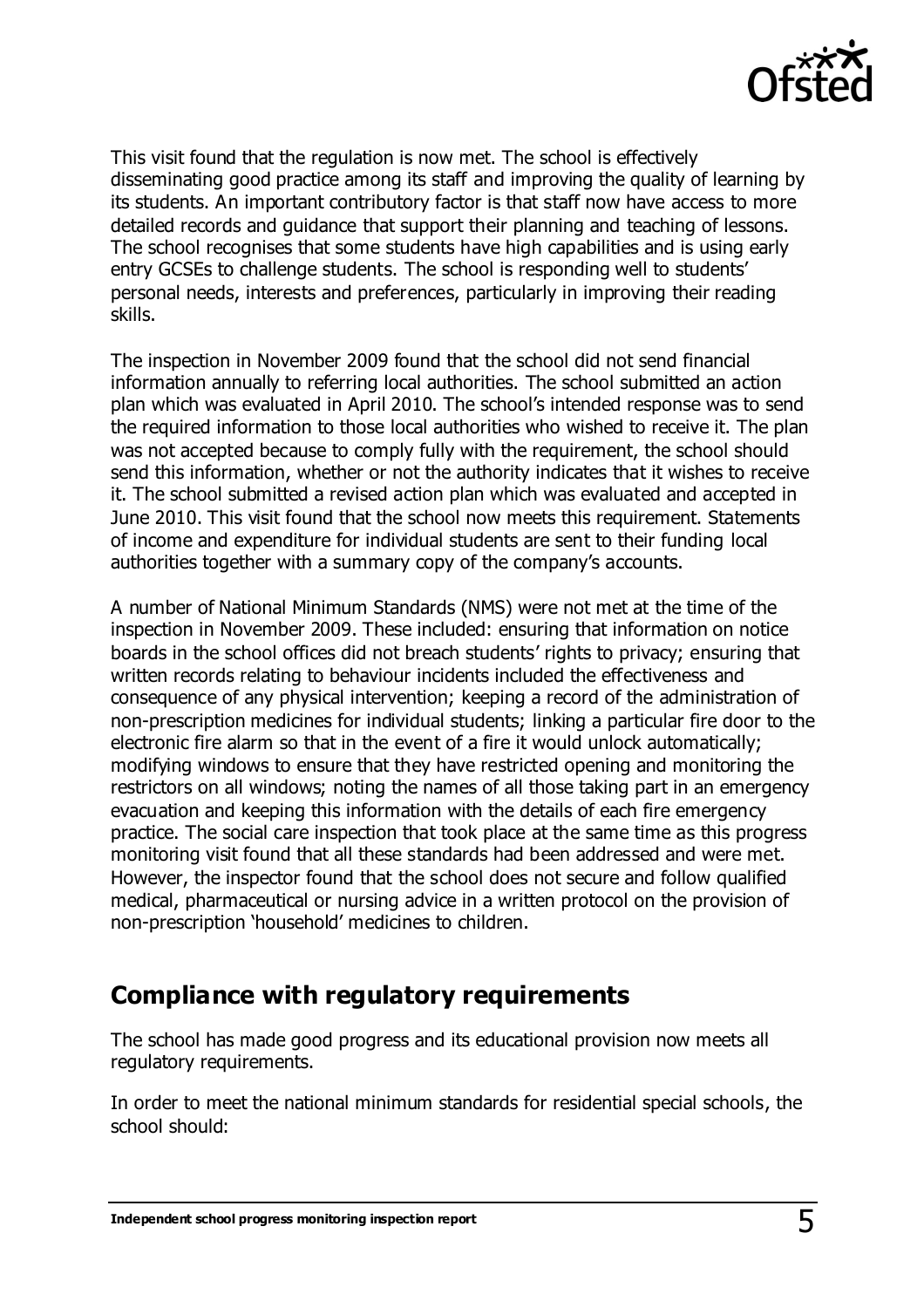

This visit found that the regulation is now met. The school is effectively disseminating good practice among its staff and improving the quality of learning by its students. An important contributory factor is that staff now have access to more detailed records and guidance that support their planning and teaching of lessons. The school recognises that some students have high capabilities and is using early entry GCSEs to challenge students. The school is responding well to students' personal needs, interests and preferences, particularly in improving their reading skills.

The inspection in November 2009 found that the school did not send financial information annually to referring local authorities. The school submitted an action plan which was evaluated in April 2010. The school's intended response was to send the required information to those local authorities who wished to receive it. The plan was not accepted because to comply fully with the requirement, the school should send this information, whether or not the authority indicates that it wishes to receive it. The school submitted a revised action plan which was evaluated and accepted in June 2010. This visit found that the school now meets this requirement. Statements of income and expenditure for individual students are sent to their funding local authorities together with a summary copy of the company's accounts.

A number of National Minimum Standards (NMS) were not met at the time of the inspection in November 2009. These included: ensuring that information on notice boards in the school offices did not breach students' rights to privacy; ensuring that written records relating to behaviour incidents included the effectiveness and consequence of any physical intervention; keeping a record of the administration of non-prescription medicines for individual students; linking a particular fire door to the electronic fire alarm so that in the event of a fire it would unlock automatically; modifying windows to ensure that they have restricted opening and monitoring the restrictors on all windows; noting the names of all those taking part in an emergency evacuation and keeping this information with the details of each fire emergency practice. The social care inspection that took place at the same time as this progress monitoring visit found that all these standards had been addressed and were met. However, the inspector found that the school does not secure and follow qualified medical, pharmaceutical or nursing advice in a written protocol on the provision of non-prescription 'household' medicines to children.

### **Compliance with regulatory requirements**

The school has made good progress and its educational provision now meets all regulatory requirements.

In order to meet the national minimum standards for residential special schools, the school should: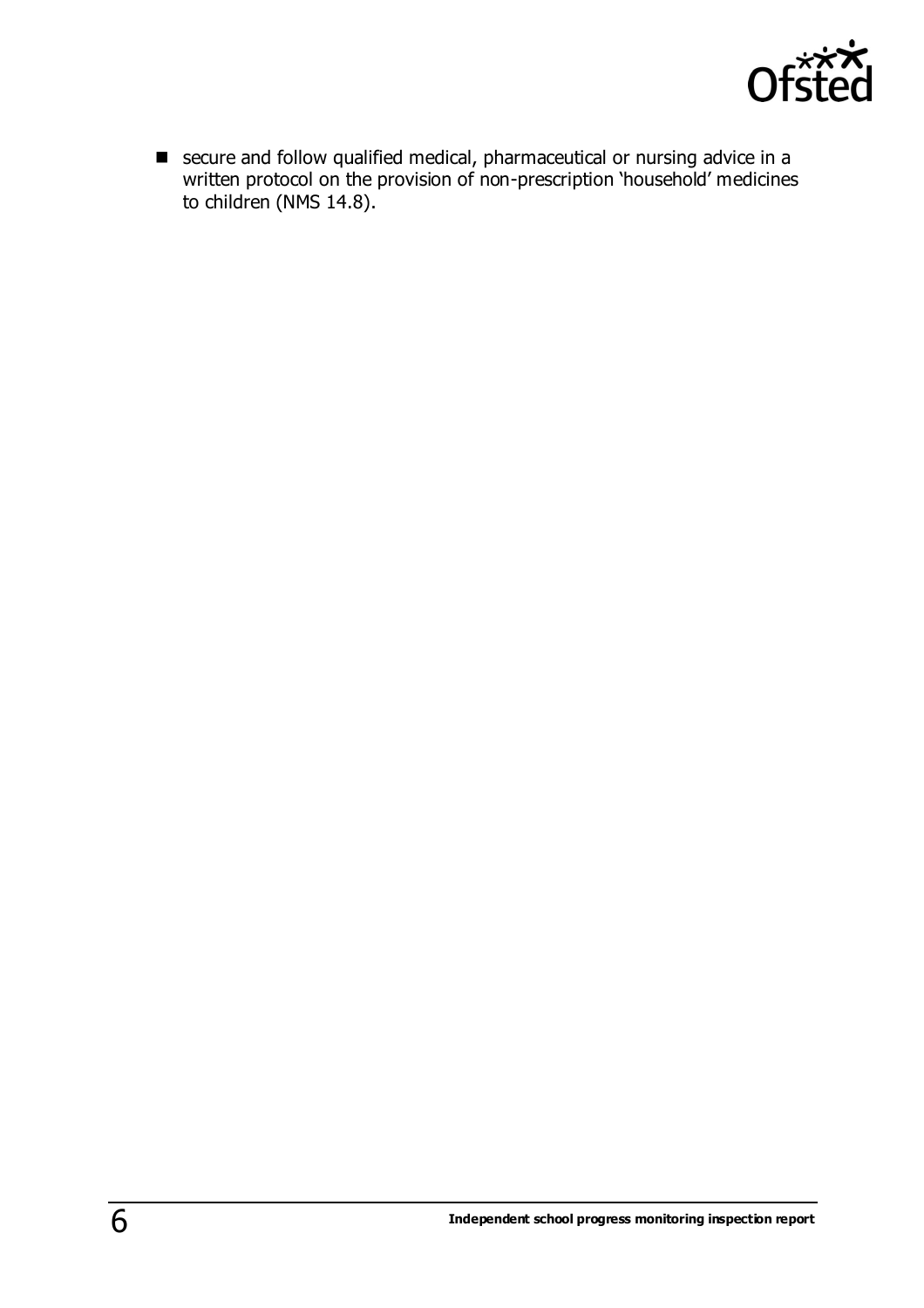

■ secure and follow qualified medical, pharmaceutical or nursing advice in a written protocol on the provision of non-prescription 'household' medicines to children (NMS 14.8).